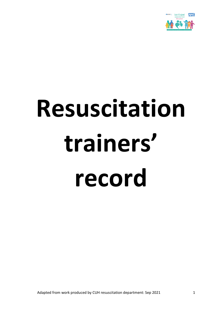

# **Resuscitation trainers' record**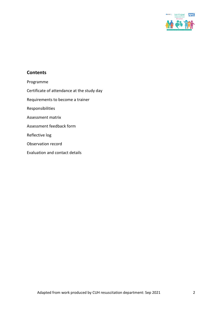

## **Contents**

- Programme
- Certificate of attendance at the study day
- Requirements to become a trainer
- Responsibilities
- Assessment matrix
- Assessment feedback form
- Reflective log
- Observation record
- Evaluation and contact details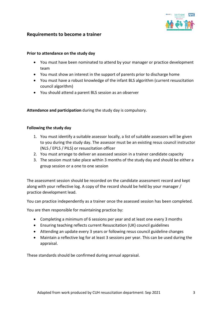

#### **Requirements to become a trainer**

#### **Prior to attendance on the study day**

- You must have been nominated to attend by your manager or practice development team
- You must show an interest in the support of parents prior to discharge home
- You must have a robust knowledge of the infant BLS algorithm (current resuscitation council algorithm)
- You should attend a parent BLS session as an observer

**Attendance and participation** during the study day is compulsory.

#### **Following the study day**

- 1. You must identify a suitable assessor locally, a list of suitable assessors will be given to you during the study day. The assessor must be an existing resus council instructor (NLS / EPLS / PILS) or resuscitation officer
- 2. You must arrange to deliver an assessed session in a trainer candidate capacity
- 3. The session must take place within 3 months of the study day and should be either a group session or a one to one session

The assessment session should be recorded on the candidate assessment record and kept along with your reflective log. A copy of the record should be held by your manager / practice development lead.

You can practice independently as a trainer once the assessed session has been completed.

You are then responsible for maintaining practice by:

- Completing a minimum of 6 sessions per year and at least one every 3 months
- Ensuring teaching reflects current Resuscitation (UK) council guidelines
- Attending an update every 3 years or following resus council guideline changes
- Maintain a reflective log for at least 3 sessions per year. This can be used during the appraisal.

These standards should be confirmed during annual appraisal.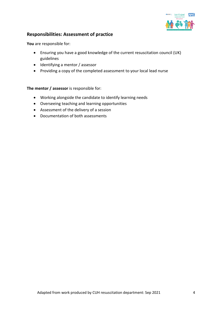

# **Responsibilities: Assessment of practice**

**You** are responsible for:

- Ensuring you have a good knowledge of the current resuscitation council (UK) guidelines
- Identifying a mentor / assessor
- Providing a copy of the completed assessment to your local lead nurse

#### **The mentor / assessor** is responsible for:

- Working alongside the candidate to identify learning needs
- Overseeing teaching and learning opportunities
- Assessment of the delivery of a session
- Documentation of both assessments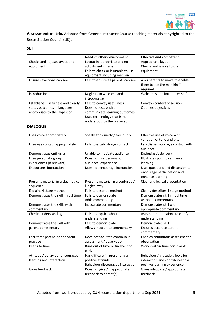

**Assessment matrix.** Adapted from Generic Instructor Course teaching materials copyrighted to the Resuscitation Council (UK)**.**

#### **SET**

|                                    | <b>Needs further development</b>    | <b>Effective and competent</b> |
|------------------------------------|-------------------------------------|--------------------------------|
| Checks and adjusts layout and      | Layout inappropriate and no         | Appropriate layout             |
| equipment                          | adjustments made                    | Checks and is able to use      |
|                                    | Fails to check or is unable to use  | equipment                      |
|                                    | equipment including manikin         |                                |
| Ensures everyone can see           | Fails to ensure all parents can see | Asks parents to move to enable |
|                                    |                                     | them to see the manikin if     |
|                                    |                                     | required                       |
| introductions                      | Neglects to welcome and             | Welcomes and introduces self   |
|                                    | introduce self                      |                                |
| Establishes usefulness and clearly | Fails to convey usefulness.         | Conveys context of session     |
| states outcomes in language        | Does not establish or               | Outlines objectives            |
| appropriate to the layperson       | communicate learning outcomes       |                                |
|                                    | Uses terminology that is not        |                                |
|                                    | understood by the lay person        |                                |

#### **DIALOGUE**

| Uses voice appropriately             | Speaks too quietly / too loudly   | Effective use of voice with       |
|--------------------------------------|-----------------------------------|-----------------------------------|
|                                      |                                   | variation of tone and pitch       |
| Uses eye contact appropriately       | Fails to establish eye contact    | Establishes good eye contact with |
|                                      |                                   | audience                          |
| Demonstrates enthusiasm              | Unable to motivate audience       | Enthusiastic delivery             |
| Uses personal / group                | Does not use personal or          | Illustrates point to enhance      |
| experiences (if relevant)            | audience experience               | learning                          |
| <b>Encourages interaction</b>        | Does not encourage interaction    | Uses questions and discussion to  |
|                                      |                                   | encourage participation and       |
|                                      |                                   | enhance learning                  |
| Presents material in a clear logical | Presents material in a confused / | Clear and logical presentation    |
| sequence                             | illogical way                     |                                   |
| Explains 4 stage method              | Fails to describe method          | Clearly describes 4 stage method  |
| Demonstrates the skill in real time  | Fails to demonstrate              | Demonstrates skill in real time   |
|                                      | Adds commentary                   | without commentary                |
| Demonstrates the skills with         | Inaccurate commentary             | Demonstrates skill with           |
| commentary                           |                                   | appropriate commentary            |
| Checks understanding                 | Fails to enquire about            | Asks parent questions to clarify  |
|                                      | understanding                     | understanding                     |
| Demonstrates the skill with          | Fails to demonstrate              | Demonstrates skill                |
| parent commentary                    | Allows inaccurate commentary      | Ensures accurate parent           |
|                                      |                                   | commentary                        |
| Facilitates parent independent       | Does not facilitate continuous    | Enables continuous assessment /   |
| practice                             | assessment / observation          | observation                       |
| Keeps to time                        | Runs out of time or finishes too  | Works within time constraints     |
|                                      | early                             |                                   |
| Attitude / behaviour encourages      | Has difficulty in presenting a    | Behaviour / attitude allows for   |
| learning and interaction             | positive attitude                 | interaction and contributes to a  |
|                                      | Behaviour discourages interaction | positive learning experience      |
| Gives feedback                       | Does not give / inappropriate     | Gives adequate / appropriate      |
|                                      | feedback to parent(s)             | feedback                          |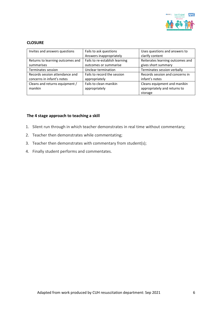

#### **CLOSURE**

| Invites and answers questions    | Fails to ask questions         | Uses questions and answers to    |
|----------------------------------|--------------------------------|----------------------------------|
|                                  | Answers inappropriately        | clarify content                  |
| Returns to learning outcomes and | Fails to re-establish learning | Reiterates learning outcomes and |
| summarises                       | outcomes or summarise          | gives short summary              |
| Terminates session               | Unclear termination            | Terminates session verbally      |
| Records session attendance and   | Fails to record the session    | Records session and concerns in  |
| concerns in infant's notes       | appropriately                  | infant's notes                   |
| Cleans and returns equipment /   | Fails to clean manikin         | Cleans equipment and manikin     |
| manikin                          | appropriately                  | appropriately and returns to     |
|                                  |                                | storage                          |

#### **The 4 stage approach to teaching a skill**

- 1. Silent run through in which teacher demonstrates in real time without commentary;
- 2. Teacher then demonstrates while commentating;
- 3. Teacher then demonstrates with commentary from student(s);
- 4. Finally student performs and commentates.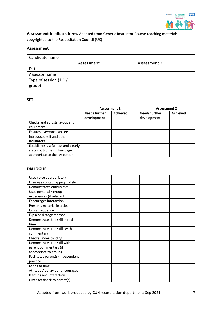

**Assessment feedback form.** Adapted from Generic Instructor Course teaching materials copyrighted to the Resuscitation Council (UK)**.**

#### **Assessment**

| Candidate name        |              |              |
|-----------------------|--------------|--------------|
|                       | Assessment 1 | Assessment 2 |
| Date                  |              |              |
| Assessor name         |              |              |
| Type of session (1:1/ |              |              |
| group)                |              |              |

#### **SET**

|                                    | <b>Assessment 1</b>  |                 | <b>Assessment 2</b>  |                 |
|------------------------------------|----------------------|-----------------|----------------------|-----------------|
|                                    | <b>Needs further</b> | <b>Achieved</b> | <b>Needs further</b> | <b>Achieved</b> |
|                                    | development          |                 | development          |                 |
| Checks and adjusts layout and      |                      |                 |                      |                 |
| equipment                          |                      |                 |                      |                 |
| Ensures everyone can see           |                      |                 |                      |                 |
| Introduces self and other          |                      |                 |                      |                 |
| facilitators                       |                      |                 |                      |                 |
| Establishes usefulness and clearly |                      |                 |                      |                 |
| states outcomes in language        |                      |                 |                      |                 |
| appropriate to the lay person      |                      |                 |                      |                 |

#### **DIALOGUE**

| Uses voice appropriately          |  |  |
|-----------------------------------|--|--|
| Uses eye contact appropriately    |  |  |
| Demonstrates enthusiasm           |  |  |
| Uses personal / group             |  |  |
| experiences (if relevant)         |  |  |
| Encourages interaction            |  |  |
| Presents material in a clear      |  |  |
| logical sequence                  |  |  |
| Explains 4 stage method           |  |  |
| Demonstrates the skill in real    |  |  |
| time                              |  |  |
| Demonstrates the skills with      |  |  |
| commentary                        |  |  |
| Checks understanding              |  |  |
| Demonstrates the skill with       |  |  |
| parent commentary (if             |  |  |
| appropriate to group)             |  |  |
| Facilitates parent(s) independent |  |  |
| practice                          |  |  |
| Keeps to time                     |  |  |
| Attitude / behaviour encourages   |  |  |
| learning and interaction          |  |  |
| Gives feedback to parent(s)       |  |  |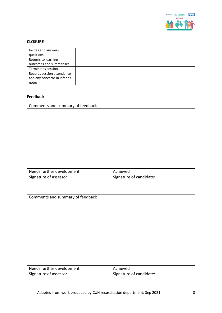

## **CLOSURE**

| Invites and answers          |  |  |
|------------------------------|--|--|
| questions                    |  |  |
| Returns to learning          |  |  |
| outcomes and summarises      |  |  |
| Terminates session           |  |  |
| Records session attendance   |  |  |
| and any concerns in infant's |  |  |
| notes                        |  |  |

## **Feedback**

| Comments and summary of feedback |                         |
|----------------------------------|-------------------------|
|                                  |                         |
|                                  |                         |
|                                  |                         |
|                                  |                         |
|                                  |                         |
|                                  |                         |
|                                  |                         |
|                                  |                         |
|                                  |                         |
| Needs further development        | Achieved                |
| Signature of assessor:           | Signature of candidate: |
|                                  |                         |

| Comments and summary of feedback |  |
|----------------------------------|--|
|                                  |  |
|                                  |  |
|                                  |  |
|                                  |  |
|                                  |  |
|                                  |  |
|                                  |  |
|                                  |  |
|                                  |  |
|                                  |  |
| Achieved                         |  |
| Signature of candidate:          |  |
|                                  |  |
|                                  |  |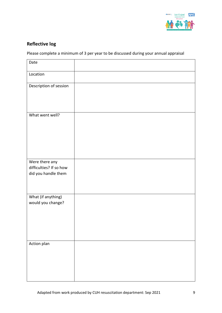

# **Reflective log**

Please complete a minimum of 3 per year to be discussed during your annual appraisal

| Date                                                             |  |
|------------------------------------------------------------------|--|
| Location                                                         |  |
| Description of session                                           |  |
| What went well?                                                  |  |
| Were there any<br>difficulties? If so how<br>did you handle them |  |
| What (if anything)<br>would you change?                          |  |
| Action plan                                                      |  |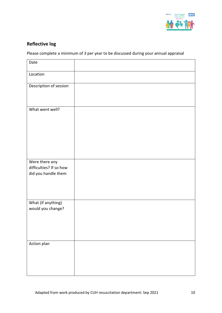

# **Reflective log**

Please complete a minimum of 3 per year to be discussed during your annual appraisal

| Date                    |  |
|-------------------------|--|
| Location                |  |
| Description of session  |  |
|                         |  |
| What went well?         |  |
|                         |  |
|                         |  |
|                         |  |
| Were there any          |  |
| difficulties? If so how |  |
| did you handle them     |  |
|                         |  |
| What (if anything)      |  |
| would you change?       |  |
|                         |  |
|                         |  |
| Action plan             |  |
|                         |  |
|                         |  |
|                         |  |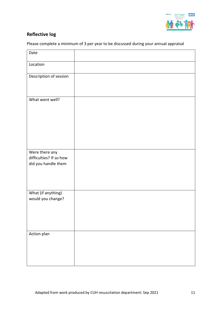

# **Reflective log**

Please complete a minimum of 3 per year to be discussed during your annual appraisal

| Date                                                             |  |
|------------------------------------------------------------------|--|
| Location                                                         |  |
| Description of session                                           |  |
| What went well?                                                  |  |
| Were there any<br>difficulties? If so how<br>did you handle them |  |
| What (if anything)<br>would you change?                          |  |
| Action plan                                                      |  |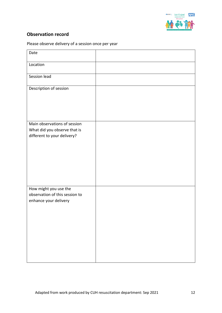

# **Observation record**

Please observe delivery of a session once per year

| Date                                                                                        |  |
|---------------------------------------------------------------------------------------------|--|
| Location                                                                                    |  |
| Session lead                                                                                |  |
| Description of session                                                                      |  |
| Main observations of session<br>What did you observe that is<br>different to your delivery? |  |
| How might you use the<br>observation of this session to<br>enhance your delivery            |  |